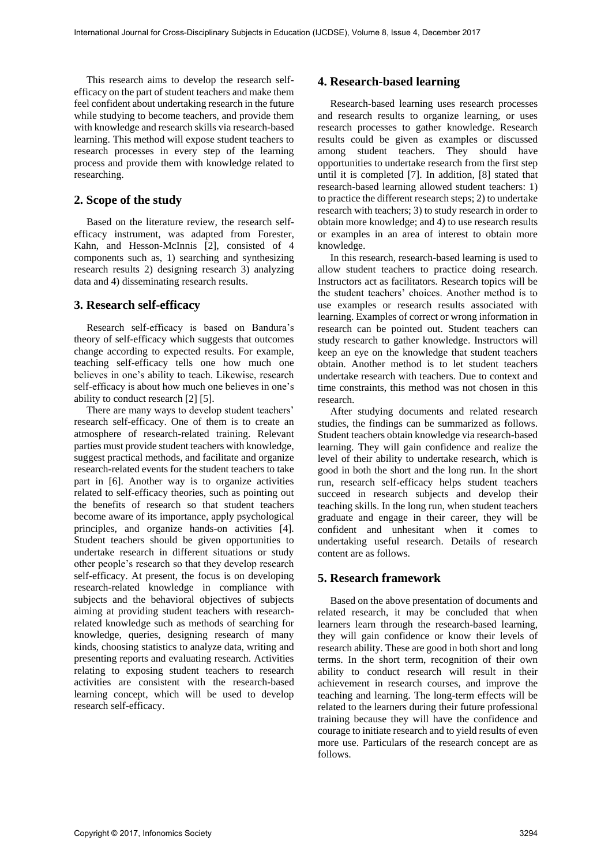This research aims to develop the research selfefficacy on the part of student teachers and make them feel confident about undertaking research in the future while studying to become teachers, and provide them with knowledge and research skills via research-based learning. This method will expose student teachers to research processes in every step of the learning process and provide them with knowledge related to researching.

### **2. Scope of the study**

Based on the literature review, the research selfefficacy instrument, was adapted from Forester, Kahn, and Hesson-McInnis [2], consisted of 4 components such as, 1) searching and synthesizing research results 2) designing research 3) analyzing data and 4) disseminating research results.

### **3. Research self-efficacy**

Research self-efficacy is based on Bandura's theory of self-efficacy which suggests that outcomes change according to expected results. For example, teaching self-efficacy tells one how much one believes in one's ability to teach. Likewise, research self-efficacy is about how much one believes in one's ability to conduct research [2] [5].

There are many ways to develop student teachers' research self-efficacy. One of them is to create an atmosphere of research-related training. Relevant parties must provide student teachers with knowledge, suggest practical methods, and facilitate and organize research-related events for the student teachers to take part in [6]. Another way is to organize activities related to self-efficacy theories, such as pointing out the benefits of research so that student teachers become aware of its importance, apply psychological principles, and organize hands-on activities [4]. Student teachers should be given opportunities to undertake research in different situations or study other people's research so that they develop research self-efficacy. At present, the focus is on developing research-related knowledge in compliance with subjects and the behavioral objectives of subjects aiming at providing student teachers with researchrelated knowledge such as methods of searching for knowledge, queries, designing research of many kinds, choosing statistics to analyze data, writing and presenting reports and evaluating research. Activities relating to exposing student teachers to research activities are consistent with the research-based learning concept, which will be used to develop research self-efficacy.

### **4. Research-based learning**

Research-based learning uses research processes and research results to organize learning, or uses research processes to gather knowledge. Research results could be given as examples or discussed among student teachers. They should have opportunities to undertake research from the first step until it is completed [7]. In addition, [8] stated that research-based learning allowed student teachers: 1) to practice the different research steps; 2) to undertake research with teachers; 3) to study research in order to obtain more knowledge; and 4) to use research results or examples in an area of interest to obtain more knowledge.

In this research, research-based learning is used to allow student teachers to practice doing research. Instructors act as facilitators. Research topics will be the student teachers' choices. Another method is to use examples or research results associated with learning. Examples of correct or wrong information in research can be pointed out. Student teachers can study research to gather knowledge. Instructors will keep an eye on the knowledge that student teachers obtain. Another method is to let student teachers undertake research with teachers. Due to context and time constraints, this method was not chosen in this research.

After studying documents and related research studies, the findings can be summarized as follows. Student teachers obtain knowledge via research-based learning. They will gain confidence and realize the level of their ability to undertake research, which is good in both the short and the long run. In the short run, research self-efficacy helps student teachers succeed in research subjects and develop their teaching skills. In the long run, when student teachers graduate and engage in their career, they will be confident and unhesitant when it comes to undertaking useful research. Details of research content are as follows.

## **5. Research framework**

Based on the above presentation of documents and related research, it may be concluded that when learners learn through the research-based learning, they will gain confidence or know their levels of research ability. These are good in both short and long terms. In the short term, recognition of their own ability to conduct research will result in their achievement in research courses, and improve the teaching and learning. The long-term effects will be related to the learners during their future professional training because they will have the confidence and courage to initiate research and to yield results of even more use. Particulars of the research concept are as follows.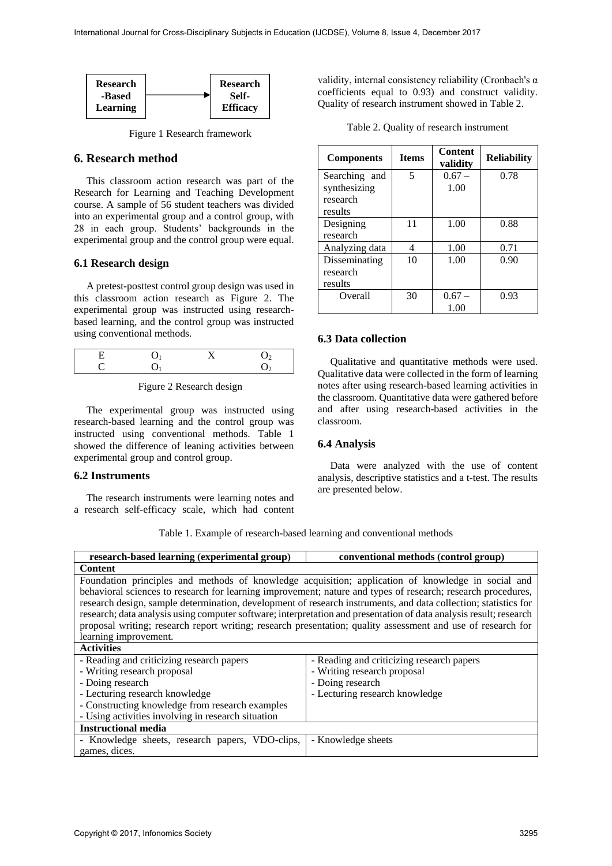

Figure 1 Research framework

### **6. Research method**

This classroom action research was part of the Research for Learning and Teaching Development course. A sample of 56 student teachers was divided into an experimental group and a control group, with 28 in each group. Students' backgrounds in the experimental group and the control group were equal.

## **6.1 Research design**

A pretest-posttest control group design was used in this classroom action research as Figure 2. The experimental group was instructed using researchbased learning, and the control group was instructed using conventional methods.

Figure 2 Research design

The experimental group was instructed using research-based learning and the control group was instructed using conventional methods. Table 1 showed the difference of leaning activities between experimental group and control group.

#### **6.2 Instruments**

The research instruments were learning notes and a research self-efficacy scale, which had content

validity, internal consistency reliability (Cronbach's α coefficients equal to 0.93) and construct validity. Quality of research instrument showed in Table 2.

Table 2. Quality of research instrument

| <b>Components</b> | <b>Items</b> | <b>Content</b><br>validity | <b>Reliability</b> |
|-------------------|--------------|----------------------------|--------------------|
| Searching and     | 5            | $0.67 -$                   | 0.78               |
| synthesizing      |              | 1.00                       |                    |
| research          |              |                            |                    |
| results           |              |                            |                    |
| Designing         | 11           | 1.00                       | 0.88               |
| research          |              |                            |                    |
| Analyzing data    | 4            | 1.00                       | 0.71               |
| Disseminating     | 10           | 1.00                       | 0.90               |
| research          |              |                            |                    |
| results           |              |                            |                    |
| Overall           | 30           | $0.67 -$                   | 0.93               |
|                   |              | 1.00                       |                    |

#### **6.3 Data collection**

Qualitative and quantitative methods were used. Qualitative data were collected in the form of learning notes after using research-based learning activities in the classroom. Quantitative data were gathered before and after using research-based activities in the classroom.

# **6.4 Analysis**

Data were analyzed with the use of content analysis, descriptive statistics and a t-test. The results are presented below.

| research-based learning (experimental group)                                                                       | conventional methods (control group)      |
|--------------------------------------------------------------------------------------------------------------------|-------------------------------------------|
| <b>Content</b>                                                                                                     |                                           |
| Foundation principles and methods of knowledge acquisition; application of knowledge in social and                 |                                           |
| behavioral sciences to research for learning improvement; nature and types of research; research procedures,       |                                           |
| research design, sample determination, development of research instruments, and data collection; statistics for    |                                           |
| research; data analysis using computer software; interpretation and presentation of data analysis result; research |                                           |
| proposal writing; research report writing; research presentation; quality assessment and use of research for       |                                           |
| learning improvement.                                                                                              |                                           |
| <b>Activities</b>                                                                                                  |                                           |
| - Reading and criticizing research papers                                                                          | - Reading and criticizing research papers |
| - Writing research proposal                                                                                        | - Writing research proposal               |
| - Doing research                                                                                                   | - Doing research                          |
| - Lecturing research knowledge                                                                                     | - Lecturing research knowledge            |
| - Constructing knowledge from research examples                                                                    |                                           |
| - Using activities involving in research situation                                                                 |                                           |
| <b>Instructional media</b>                                                                                         |                                           |
| - Knowledge sheets, research papers, VDO-clips,                                                                    | - Knowledge sheets                        |
| games, dices.                                                                                                      |                                           |

Table 1. Example of research-based learning and conventional methods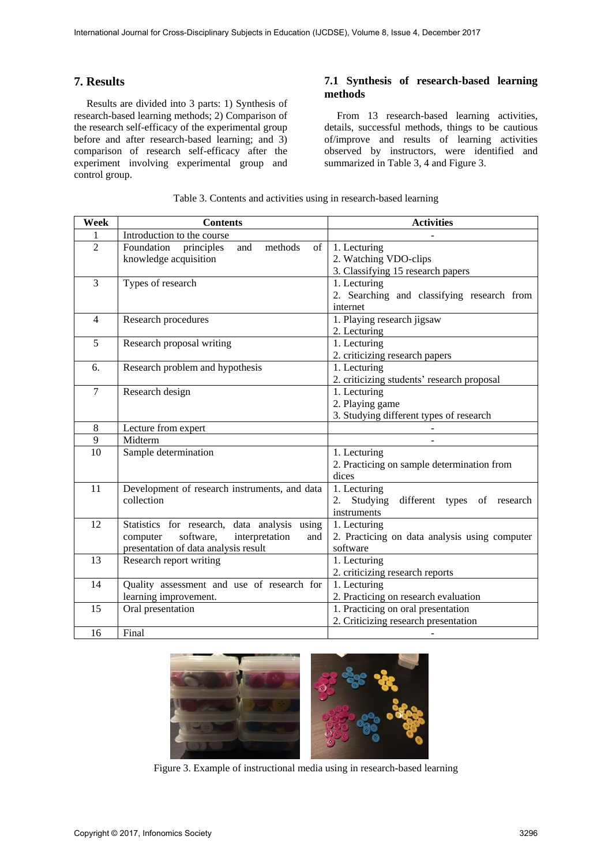# **7. Results**

Results are divided into 3 parts: 1) Synthesis of research-based learning methods; 2) Comparison of the research self-efficacy of the experimental group before and after research-based learning; and 3) comparison of research self-efficacy after the experiment involving experimental group and control group.

# **7.1 Synthesis of research-based learning methods**

From 13 research-based learning activities, details, successful methods, things to be cautious of/improve and results of learning activities observed by instructors, were identified and summarized in Table 3, 4 and Figure 3.

| Week           | <b>Contents</b>                                  | <b>Activities</b>                             |
|----------------|--------------------------------------------------|-----------------------------------------------|
| 1              | Introduction to the course                       |                                               |
| $\overline{2}$ | Foundation<br>and<br>methods<br>of<br>principles | 1. Lecturing                                  |
|                | knowledge acquisition                            | 2. Watching VDO-clips                         |
|                |                                                  | 3. Classifying 15 research papers             |
| 3              | Types of research                                | 1. Lecturing                                  |
|                |                                                  | 2. Searching and classifying research from    |
|                |                                                  | internet                                      |
| $\overline{4}$ | Research procedures                              | 1. Playing research jigsaw                    |
|                |                                                  | 2. Lecturing                                  |
| 5              | Research proposal writing                        | 1. Lecturing                                  |
|                |                                                  | 2. criticizing research papers                |
| 6.             | Research problem and hypothesis                  | 1. Lecturing                                  |
|                |                                                  | 2. criticizing students' research proposal    |
| $\overline{7}$ | Research design                                  | 1. Lecturing                                  |
|                |                                                  | 2. Playing game                               |
|                |                                                  | 3. Studying different types of research       |
| 8              | Lecture from expert                              |                                               |
| 9              | Midterm                                          |                                               |
| 10             | Sample determination                             | 1. Lecturing                                  |
|                |                                                  | 2. Practicing on sample determination from    |
|                |                                                  | dices                                         |
| 11             | Development of research instruments, and data    | 1. Lecturing                                  |
|                | collection                                       | Studying different types of research<br>2.    |
|                |                                                  | instruments                                   |
| 12             | Statistics for research, data analysis using     | 1. Lecturing                                  |
|                | software,<br>interpretation<br>computer<br>and   | 2. Practicing on data analysis using computer |
|                | presentation of data analysis result             | software                                      |
| 13             | Research report writing                          | 1. Lecturing                                  |
|                |                                                  | 2. criticizing research reports               |
| 14             | Quality assessment and use of research for       | 1. Lecturing                                  |
|                | learning improvement.                            | 2. Practicing on research evaluation          |
| 15             | Oral presentation                                | 1. Practicing on oral presentation            |
|                |                                                  | 2. Criticizing research presentation          |
| 16             | Final                                            |                                               |

# Table 3. Contents and activities using in research-based learning



Figure 3. Example of instructional media using in research-based learning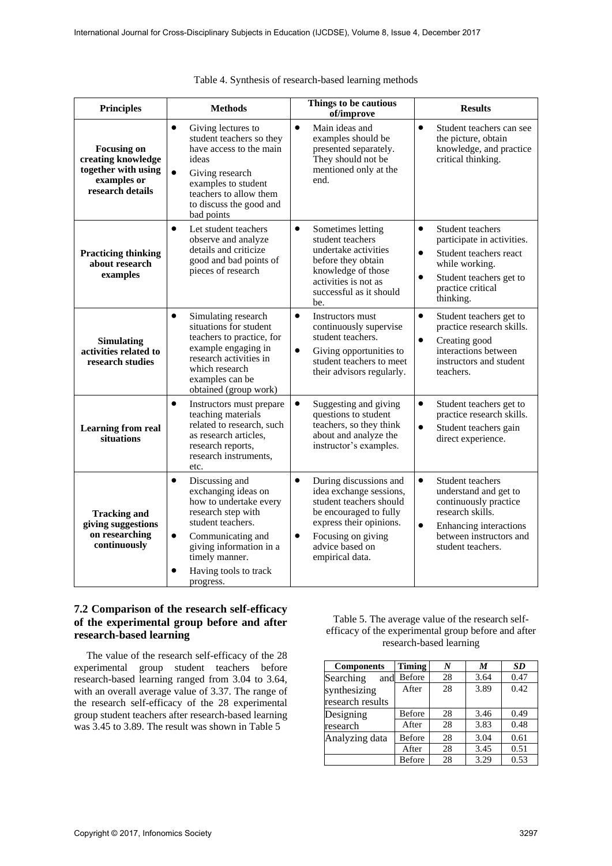| <b>Principles</b>                                                                                  | <b>Methods</b>                                                                                                                                                                                                                                            | Things to be cautious<br>of/improve                                                                                                                                                                                     | <b>Results</b>                                                                                                                                                                                 |
|----------------------------------------------------------------------------------------------------|-----------------------------------------------------------------------------------------------------------------------------------------------------------------------------------------------------------------------------------------------------------|-------------------------------------------------------------------------------------------------------------------------------------------------------------------------------------------------------------------------|------------------------------------------------------------------------------------------------------------------------------------------------------------------------------------------------|
| <b>Focusing on</b><br>creating knowledge<br>together with using<br>examples or<br>research details | $\bullet$<br>Giving lectures to<br>student teachers so they<br>have access to the main<br>ideas<br>$\bullet$<br>Giving research<br>examples to student<br>teachers to allow them<br>to discuss the good and<br>bad points                                 | $\bullet$<br>Main ideas and<br>examples should be<br>presented separately.<br>They should not be<br>mentioned only at the<br>end.                                                                                       | $\bullet$<br>Student teachers can see<br>the picture, obtain<br>knowledge, and practice<br>critical thinking.                                                                                  |
| <b>Practicing thinking</b><br>about research<br>examples                                           | Let student teachers<br>$\bullet$<br>observe and analyze<br>details and criticize<br>good and bad points of<br>pieces of research                                                                                                                         | $\bullet$<br>Sometimes letting<br>student teachers<br>undertake activities<br>before they obtain<br>knowledge of those<br>activities is not as<br>successful as it should<br>be.                                        | $\bullet$<br>Student teachers<br>participate in activities.<br>$\bullet$<br>Student teachers react<br>while working.<br>$\bullet$<br>Student teachers get to<br>practice critical<br>thinking. |
| <b>Simulating</b><br>activities related to<br>research studies                                     | $\bullet$<br>Simulating research<br>situations for student<br>teachers to practice, for<br>example engaging in<br>research activities in<br>which research<br>examples can be<br>obtained (group work)                                                    | $\bullet$<br>Instructors must<br>continuously supervise<br>student teachers.<br>$\bullet$<br>Giving opportunities to<br>student teachers to meet<br>their advisors regularly.                                           | $\bullet$<br>Student teachers get to<br>practice research skills.<br>$\bullet$<br>Creating good<br>interactions between<br>instructors and student<br>teachers.                                |
| <b>Learning from real</b><br>situations                                                            | $\bullet$<br>Instructors must prepare<br>teaching materials<br>related to research, such<br>as research articles,<br>research reports,<br>research instruments,<br>etc.                                                                                   | $\bullet$<br>Suggesting and giving<br>questions to student<br>teachers, so they think<br>about and analyze the<br>instructor's examples.                                                                                | $\bullet$<br>Student teachers get to<br>practice research skills.<br>$\bullet$<br>Student teachers gain<br>direct experience.                                                                  |
| <b>Tracking and</b><br>giving suggestions<br>on researching<br>continuously                        | $\bullet$<br>Discussing and<br>exchanging ideas on<br>how to undertake every<br>research step with<br>student teachers.<br>Communicating and<br>$\bullet$<br>giving information in a<br>timely manner.<br>Having tools to track<br>$\bullet$<br>progress. | $\bullet$<br>During discussions and<br>idea exchange sessions,<br>student teachers should<br>be encouraged to fully<br>express their opinions.<br>Focusing on giving<br>$\bullet$<br>advice based on<br>empirical data. | $\bullet$<br>Student teachers<br>understand and get to<br>continuously practice<br>research skills.<br>$\bullet$<br>Enhancing interactions<br>between instructors and<br>student teachers.     |

| Table 4. Synthesis of research-based learning methods |  |  |
|-------------------------------------------------------|--|--|
|                                                       |  |  |
|                                                       |  |  |

# **7.2 Comparison of the research self-efficacy of the experimental group before and after research-based learning**

The value of the research self-efficacy of the 28 experimental group student teachers before research-based learning ranged from 3.04 to 3.64, with an overall average value of 3.37. The range of the research self-efficacy of the 28 experimental group student teachers after research-based learning was 3.45 to 3.89. The result was shown in Table 5

Table 5. The average value of the research selfefficacy of the experimental group before and after research-based learning

| <b>Components</b> | <b>Timing</b> | N  | M    | <b>SD</b> |
|-------------------|---------------|----|------|-----------|
| Searching<br>and  | <b>Before</b> | 28 | 3.64 | 0.47      |
| synthesizing      | After         | 28 | 3.89 | 0.42      |
| research results  |               |    |      |           |
| Designing         | Before        | 28 | 3.46 | 0.49      |
| research          | After         | 28 | 3.83 | 0.48      |
| Analyzing data    | Before        | 28 | 3.04 | 0.61      |
|                   | After         | 28 | 3.45 | 0.51      |
|                   | Before        | 28 | 3.29 | 0.53      |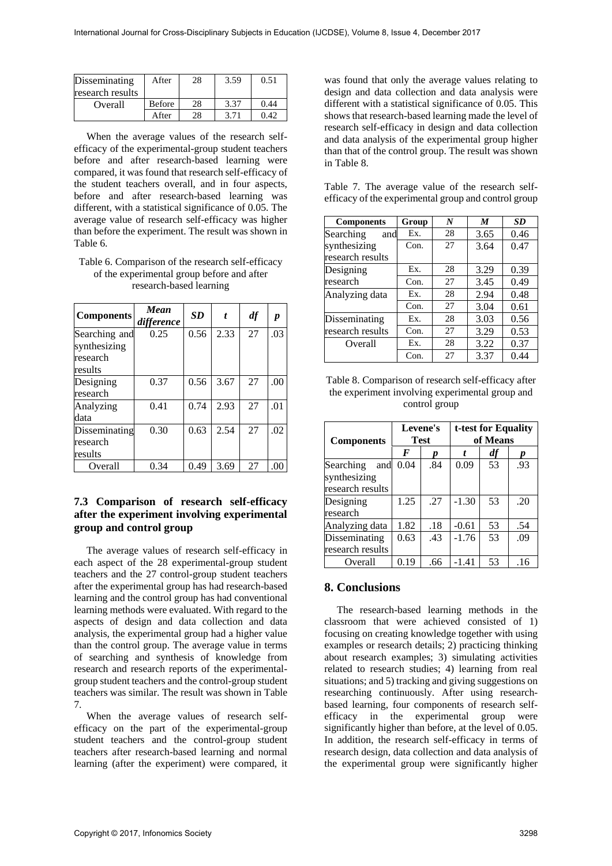| Disseminating    | After         | 28 | 3.59 | 0.51 |
|------------------|---------------|----|------|------|
| research results |               |    |      |      |
| Overall          | <b>Before</b> | 28 | 3.37 | 0.44 |
|                  | After         | 28 |      | 0.42 |

When the average values of the research selfefficacy of the experimental-group student teachers before and after research-based learning were compared, it was found that research self-efficacy of the student teachers overall, and in four aspects, before and after research-based learning was different, with a statistical significance of 0.05. The average value of research self-efficacy was higher than before the experiment. The result was shown in Table 6.

#### Table 6. Comparison of the research self-efficacy of the experimental group before and after research-based learning

| <b>Components</b>                                    | Mean<br>difference | <b>SD</b> | t    | df | p    |
|------------------------------------------------------|--------------------|-----------|------|----|------|
| Searching and<br>synthesizing<br>research<br>results | 0.25               | 0.56      | 2.33 | 27 | .03  |
| Designing<br>research                                | 0.37               | 0.56      | 3.67 | 27 | .00. |
| Analyzing<br>data                                    | 0.41               | 0.74      | 2.93 | 27 | .01  |
| Disseminating<br>research<br>results                 | 0.30               | 0.63      | 2.54 | 27 | .02  |
| Overall                                              | 0.34               | 0.49      | 3.69 | 27 | .00  |

# **7.3 Comparison of research self-efficacy after the experiment involving experimental group and control group**

The average values of research self-efficacy in each aspect of the 28 experimental-group student teachers and the 27 control-group student teachers after the experimental group has had research-based learning and the control group has had conventional learning methods were evaluated. With regard to the aspects of design and data collection and data analysis, the experimental group had a higher value than the control group. The average value in terms of searching and synthesis of knowledge from research and research reports of the experimentalgroup student teachers and the control-group student teachers was similar. The result was shown in Table 7.

When the average values of research selfefficacy on the part of the experimental-group student teachers and the control-group student teachers after research-based learning and normal learning (after the experiment) were compared, it

was found that only the average values relating to design and data collection and data analysis were different with a statistical significance of 0.05. This shows that research-based learning made the level of research self-efficacy in design and data collection and data analysis of the experimental group higher than that of the control group. The result was shown in Table 8.

|  |  |  | Table 7. The average value of the research self-     |  |
|--|--|--|------------------------------------------------------|--|
|  |  |  | efficacy of the experimental group and control group |  |

| <b>Components</b> | Group | N  | M    | <b>SD</b> |
|-------------------|-------|----|------|-----------|
| Searching<br>and  | Ex.   | 28 | 3.65 | 0.46      |
| synthesizing      | Con.  | 27 | 3.64 | 0.47      |
| research results  |       |    |      |           |
| Designing         | Ex.   | 28 | 3.29 | 0.39      |
| research          | Con.  | 27 | 3.45 | 0.49      |
| Analyzing data    | Ex.   | 28 | 2.94 | 0.48      |
|                   | Con.  | 27 | 3.04 | 0.61      |
| Disseminating     | Ex.   | 28 | 3.03 | 0.56      |
| research results  | Con.  | 27 | 3.29 | 0.53      |
| Overall           | Ex.   | 28 | 3.22 | 0.37      |
|                   | Con.  | 27 | 3.37 | 0.44      |

Table 8. Comparison of research self-efficacy after the experiment involving experimental group and control group

| <b>Components</b>                                    |      | Levene's<br><b>Test</b> |         | t-test for Equality<br>of Means |     |  |
|------------------------------------------------------|------|-------------------------|---------|---------------------------------|-----|--|
|                                                      | F    |                         |         | df                              | Ŋ   |  |
| Searching<br>and<br>synthesizing<br>research results | 0.04 | .84                     | 0.09    | 53                              | .93 |  |
| Designing<br>research                                | 1.25 | .27                     | $-1.30$ | 53                              | .20 |  |
| Analyzing data                                       | 1.82 | .18                     | $-0.61$ | 53                              | .54 |  |
| Disseminating<br>research results                    | 0.63 | .43                     | $-1.76$ | 53                              | .09 |  |
| Overall                                              | 0.19 | .66                     | $-1.41$ | 53                              | .16 |  |

# **8. Conclusions**

The research-based learning methods in the classroom that were achieved consisted of 1) focusing on creating knowledge together with using examples or research details; 2) practicing thinking about research examples; 3) simulating activities related to research studies; 4) learning from real situations; and 5) tracking and giving suggestions on researching continuously. After using researchbased learning, four components of research selfefficacy in the experimental group were significantly higher than before, at the level of 0.05. In addition, the research self-efficacy in terms of research design, data collection and data analysis of the experimental group were significantly higher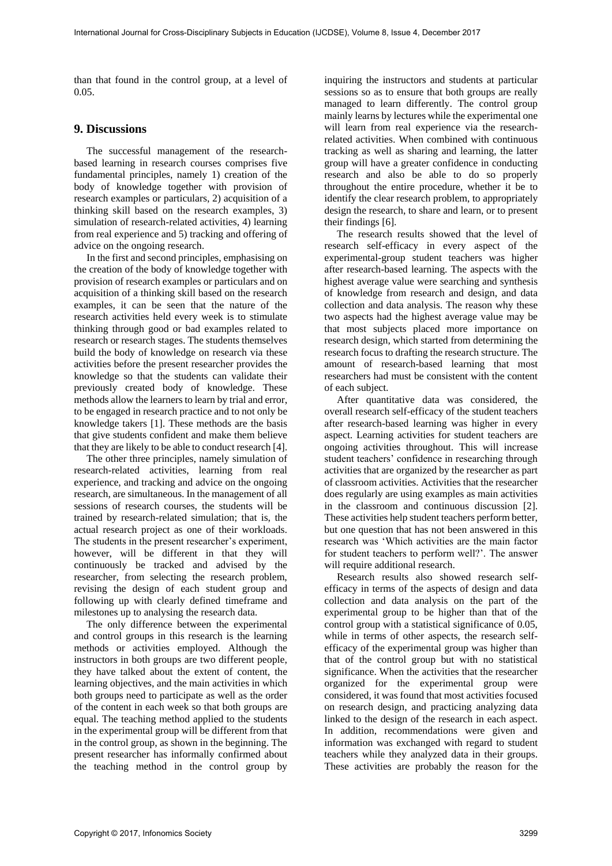than that found in the control group, at a level of 0.05.

# **9. Discussions**

The successful management of the researchbased learning in research courses comprises five fundamental principles, namely 1) creation of the body of knowledge together with provision of research examples or particulars, 2) acquisition of a thinking skill based on the research examples, 3) simulation of research-related activities, 4) learning from real experience and 5) tracking and offering of advice on the ongoing research.

In the first and second principles, emphasising on the creation of the body of knowledge together with provision of research examples or particulars and on acquisition of a thinking skill based on the research examples, it can be seen that the nature of the research activities held every week is to stimulate thinking through good or bad examples related to research or research stages. The students themselves build the body of knowledge on research via these activities before the present researcher provides the knowledge so that the students can validate their previously created body of knowledge. These methods allow the learners to learn by trial and error, to be engaged in research practice and to not only be knowledge takers [1]. These methods are the basis that give students confident and make them believe that they are likely to be able to conduct research [4].

The other three principles, namely simulation of research-related activities, learning from real experience, and tracking and advice on the ongoing research, are simultaneous. In the management of all sessions of research courses, the students will be trained by research-related simulation; that is, the actual research project as one of their workloads. The students in the present researcher's experiment, however, will be different in that they will continuously be tracked and advised by the researcher, from selecting the research problem, revising the design of each student group and following up with clearly defined timeframe and milestones up to analysing the research data.

The only difference between the experimental and control groups in this research is the learning methods or activities employed. Although the instructors in both groups are two different people, they have talked about the extent of content, the learning objectives, and the main activities in which both groups need to participate as well as the order of the content in each week so that both groups are equal. The teaching method applied to the students in the experimental group will be different from that in the control group, as shown in the beginning. The present researcher has informally confirmed about the teaching method in the control group by

inquiring the instructors and students at particular sessions so as to ensure that both groups are really managed to learn differently. The control group mainly learns by lectures while the experimental one will learn from real experience via the researchrelated activities. When combined with continuous tracking as well as sharing and learning, the latter group will have a greater confidence in conducting research and also be able to do so properly throughout the entire procedure, whether it be to identify the clear research problem, to appropriately design the research, to share and learn, or to present their findings [6].

The research results showed that the level of research self-efficacy in every aspect of the experimental-group student teachers was higher after research-based learning. The aspects with the highest average value were searching and synthesis of knowledge from research and design, and data collection and data analysis. The reason why these two aspects had the highest average value may be that most subjects placed more importance on research design, which started from determining the research focus to drafting the research structure. The amount of research-based learning that most researchers had must be consistent with the content of each subject.

After quantitative data was considered, the overall research self-efficacy of the student teachers after research-based learning was higher in every aspect. Learning activities for student teachers are ongoing activities throughout. This will increase student teachers' confidence in researching through activities that are organized by the researcher as part of classroom activities. Activities that the researcher does regularly are using examples as main activities in the classroom and continuous discussion [2]. These activities help student teachers perform better, but one question that has not been answered in this research was 'Which activities are the main factor for student teachers to perform well?'. The answer will require additional research.

Research results also showed research selfefficacy in terms of the aspects of design and data collection and data analysis on the part of the experimental group to be higher than that of the control group with a statistical significance of 0.05, while in terms of other aspects, the research selfefficacy of the experimental group was higher than that of the control group but with no statistical significance. When the activities that the researcher organized for the experimental group were considered, it was found that most activities focused on research design, and practicing analyzing data linked to the design of the research in each aspect. In addition, recommendations were given and information was exchanged with regard to student teachers while they analyzed data in their groups. These activities are probably the reason for the